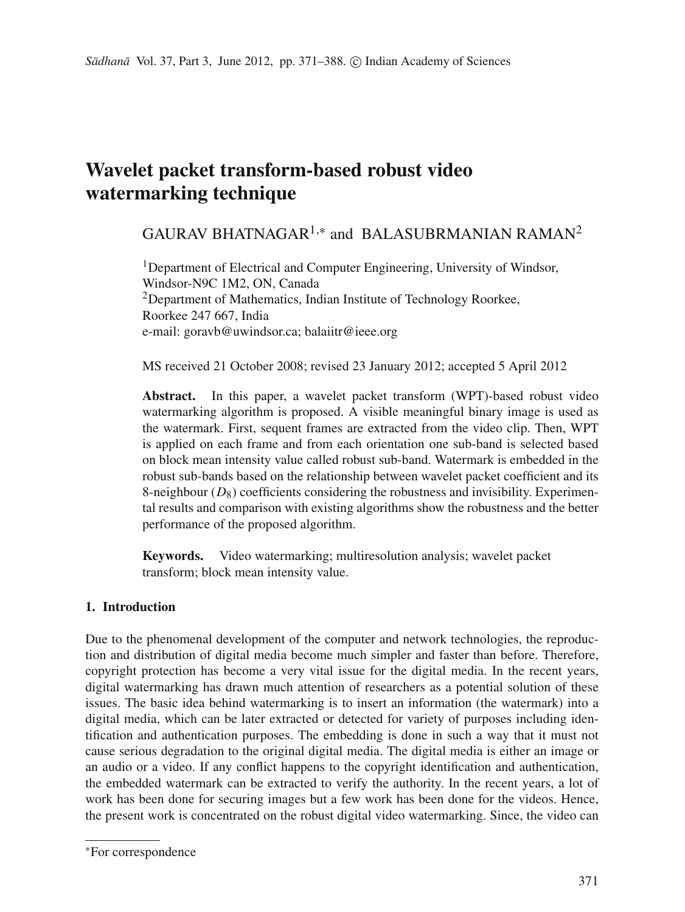# **Wavelet packet transform-based robust video watermarking technique**

## $\text{GAURAV BHATNAGAR}^{1,*}$  and  $\text{BALASUBRMANIAN RAMAN}^{2}$

<sup>1</sup>Department of Electrical and Computer Engineering, University of Windsor, Windsor-N9C 1M2, ON, Canada <sup>2</sup>Department of Mathematics, Indian Institute of Technology Roorkee, Roorkee 247 667, India e-mail: goravb@uwindsor.ca; balaiitr@ieee.org

MS received 21 October 2008; revised 23 January 2012; accepted 5 April 2012

**Abstract.** In this paper, a wavelet packet transform (WPT)-based robust video watermarking algorithm is proposed. A visible meaningful binary image is used as the watermark. First, sequent frames are extracted from the video clip. Then, WPT is applied on each frame and from each orientation one sub-band is selected based on block mean intensity value called robust sub-band. Watermark is embedded in the robust sub-bands based on the relationship between wavelet packet coefficient and its 8-neighbour  $(D_8)$  coefficients considering the robustness and invisibility. Experimental results and comparison with existing algorithms show the robustness and the better performance of the proposed algorithm.

**Keywords.** Video watermarking; multiresolution analysis; wavelet packet transform; block mean intensity value.

### **1. Introduction**

Due to the phenomenal development of the computer and network technologies, the reproduction and distribution of digital media become much simpler and faster than before. Therefore, copyright protection has become a very vital issue for the digital media. In the recent years, digital watermarking has drawn much attention of researchers as a potential solution of these issues. The basic idea behind watermarking is to insert an information (the watermark) into a digital media, which can be later extracted or detected for variety of purposes including identification and authentication purposes. The embedding is done in such a way that it must not cause serious degradation to the original digital media. The digital media is either an image or an audio or a video. If any conflict happens to the copyright identification and authentication, the embedded watermark can be extracted to verify the authority. In the recent years, a lot of work has been done for securing images but a few work has been done for the videos. Hence, the present work is concentrated on the robust digital video watermarking. Since, the video can

<sup>∗</sup>For correspondence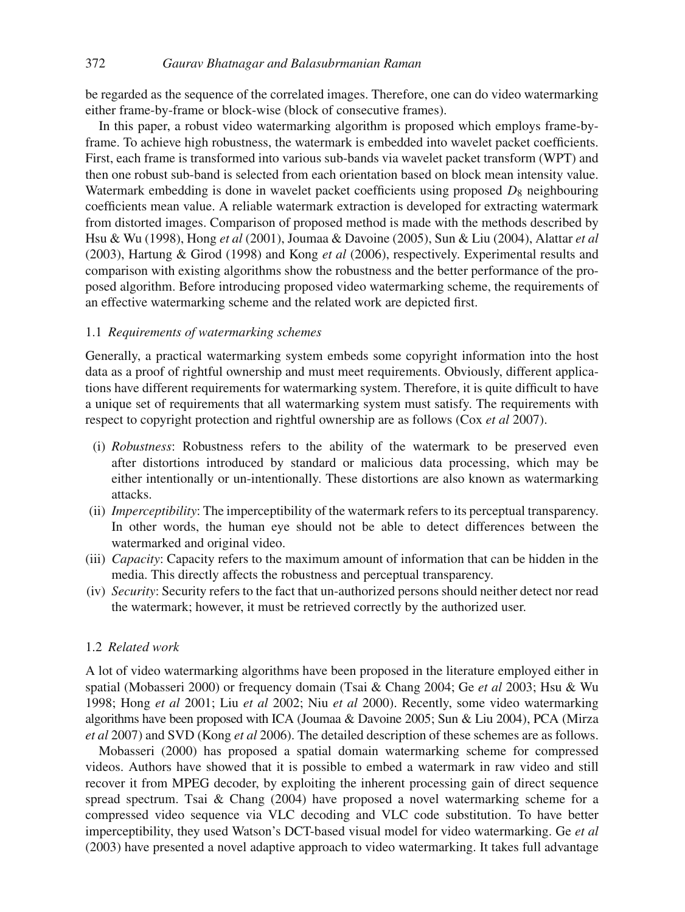be regarded as the sequence of the correlated images. Therefore, one can do video watermarking either frame-by-frame or block-wise (block of consecutive frames).

In this paper, a robust video watermarking algorithm is proposed which employs frame-byframe. To achieve high robustness, the watermark is embedded into wavelet packet coefficients. First, each frame is transformed into various sub-bands via wavelet packet transform (WPT) and then one robust sub-band is selected from each orientation based on block mean intensity value. Watermark embedding is done in wavelet packet coefficients using proposed  $D_8$  neighbouring coefficients mean value. A reliable watermark extraction is developed for extracting watermark from distorted images. Comparison of proposed method is made with the methods described by Hsu & Wu (1998), Hong *et al* (2001), Joumaa & Davoine (2005), Sun & Liu (2004), Alattar *et al* (2003), Hartung & Girod (1998) and Kong *et al* (2006), respectively. Experimental results and comparison with existing algorithms show the robustness and the better performance of the proposed algorithm. Before introducing proposed video watermarking scheme, the requirements of an effective watermarking scheme and the related work are depicted first.

#### 1.1 *Requirements of watermarking schemes*

Generally, a practical watermarking system embeds some copyright information into the host data as a proof of rightful ownership and must meet requirements. Obviously, different applications have different requirements for watermarking system. Therefore, it is quite difficult to have a unique set of requirements that all watermarking system must satisfy. The requirements with respect to copyright protection and rightful ownership are as follows (Cox *et al* 2007).

- (i) *Robustness*: Robustness refers to the ability of the watermark to be preserved even after distortions introduced by standard or malicious data processing, which may be either intentionally or un-intentionally. These distortions are also known as watermarking attacks.
- (ii) *Imperceptibility*: The imperceptibility of the watermark refers to its perceptual transparency. In other words, the human eye should not be able to detect differences between the watermarked and original video.
- (iii) *Capacity*: Capacity refers to the maximum amount of information that can be hidden in the media. This directly affects the robustness and perceptual transparency.
- (iv) *Security*: Security refers to the fact that un-authorized persons should neither detect nor read the watermark; however, it must be retrieved correctly by the authorized user.

#### 1.2 *Related work*

A lot of video watermarking algorithms have been proposed in the literature employed either in spatial (Mobasseri 2000) or frequency domain (Tsai & Chang 2004; Ge *et al* 2003; Hsu & Wu 1998; Hong *et al* 2001; Liu *et al* 2002; Niu *et al* 2000). Recently, some video watermarking algorithms have been proposed with ICA (Joumaa & Davoine 2005; Sun & Liu 2004), PCA (Mirza *et al* 2007) and SVD (Kong *et al* 2006). The detailed description of these schemes are as follows.

Mobasseri (2000) has proposed a spatial domain watermarking scheme for compressed videos. Authors have showed that it is possible to embed a watermark in raw video and still recover it from MPEG decoder, by exploiting the inherent processing gain of direct sequence spread spectrum. Tsai & Chang (2004) have proposed a novel watermarking scheme for a compressed video sequence via VLC decoding and VLC code substitution. To have better imperceptibility, they used Watson's DCT-based visual model for video watermarking. Ge *et al* (2003) have presented a novel adaptive approach to video watermarking. It takes full advantage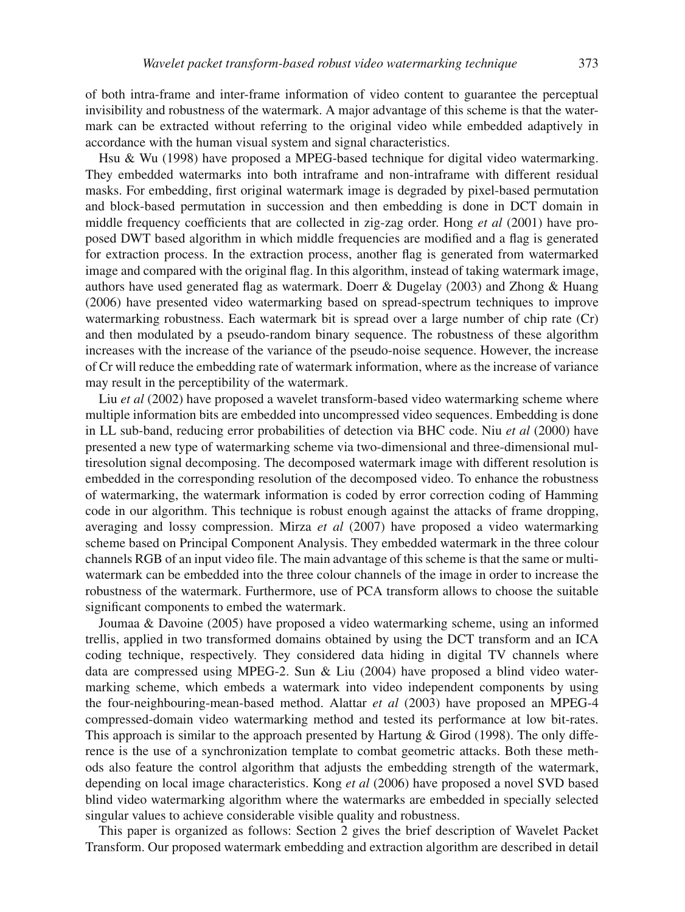of both intra-frame and inter-frame information of video content to guarantee the perceptual invisibility and robustness of the watermark. A major advantage of this scheme is that the watermark can be extracted without referring to the original video while embedded adaptively in accordance with the human visual system and signal characteristics.

Hsu & Wu (1998) have proposed a MPEG-based technique for digital video watermarking. They embedded watermarks into both intraframe and non-intraframe with different residual masks. For embedding, first original watermark image is degraded by pixel-based permutation and block-based permutation in succession and then embedding is done in DCT domain in middle frequency coefficients that are collected in zig-zag order. Hong *et al* (2001) have proposed DWT based algorithm in which middle frequencies are modified and a flag is generated for extraction process. In the extraction process, another flag is generated from watermarked image and compared with the original flag. In this algorithm, instead of taking watermark image, authors have used generated flag as watermark. Doerr & Dugelay (2003) and Zhong & Huang (2006) have presented video watermarking based on spread-spectrum techniques to improve watermarking robustness. Each watermark bit is spread over a large number of chip rate (Cr) and then modulated by a pseudo-random binary sequence. The robustness of these algorithm increases with the increase of the variance of the pseudo-noise sequence. However, the increase of Cr will reduce the embedding rate of watermark information, where as the increase of variance may result in the perceptibility of the watermark.

Liu *et al* (2002) have proposed a wavelet transform-based video watermarking scheme where multiple information bits are embedded into uncompressed video sequences. Embedding is done in LL sub-band, reducing error probabilities of detection via BHC code. Niu *et al* (2000) have presented a new type of watermarking scheme via two-dimensional and three-dimensional multiresolution signal decomposing. The decomposed watermark image with different resolution is embedded in the corresponding resolution of the decomposed video. To enhance the robustness of watermarking, the watermark information is coded by error correction coding of Hamming code in our algorithm. This technique is robust enough against the attacks of frame dropping, averaging and lossy compression. Mirza *et al* (2007) have proposed a video watermarking scheme based on Principal Component Analysis. They embedded watermark in the three colour channels RGB of an input video file. The main advantage of this scheme is that the same or multiwatermark can be embedded into the three colour channels of the image in order to increase the robustness of the watermark. Furthermore, use of PCA transform allows to choose the suitable significant components to embed the watermark.

Joumaa & Davoine (2005) have proposed a video watermarking scheme, using an informed trellis, applied in two transformed domains obtained by using the DCT transform and an ICA coding technique, respectively. They considered data hiding in digital TV channels where data are compressed using MPEG-2. Sun & Liu (2004) have proposed a blind video watermarking scheme, which embeds a watermark into video independent components by using the four-neighbouring-mean-based method. Alattar *et al* (2003) have proposed an MPEG-4 compressed-domain video watermarking method and tested its performance at low bit-rates. This approach is similar to the approach presented by Hartung  $\&$  Girod (1998). The only difference is the use of a synchronization template to combat geometric attacks. Both these methods also feature the control algorithm that adjusts the embedding strength of the watermark, depending on local image characteristics. Kong *et al* (2006) have proposed a novel SVD based blind video watermarking algorithm where the watermarks are embedded in specially selected singular values to achieve considerable visible quality and robustness.

This paper is organized as follows: Section 2 gives the brief description of Wavelet Packet Transform. Our proposed watermark embedding and extraction algorithm are described in detail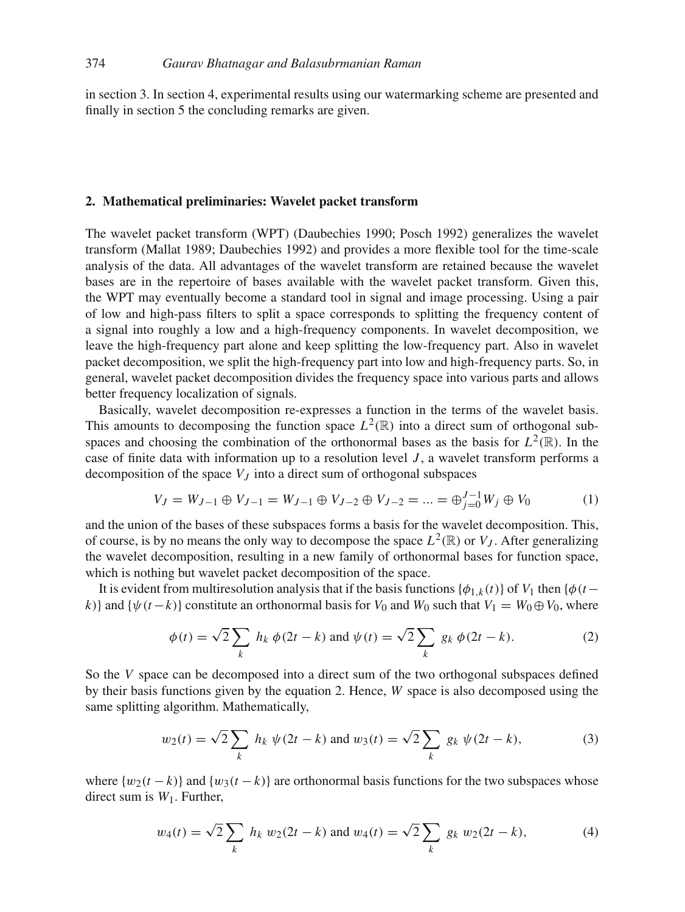in section 3. In section 4, experimental results using our watermarking scheme are presented and finally in section 5 the concluding remarks are given.

#### **2. Mathematical preliminaries: Wavelet packet transform**

The wavelet packet transform (WPT) (Daubechies 1990; Posch 1992) generalizes the wavelet transform (Mallat 1989; Daubechies 1992) and provides a more flexible tool for the time-scale analysis of the data. All advantages of the wavelet transform are retained because the wavelet bases are in the repertoire of bases available with the wavelet packet transform. Given this, the WPT may eventually become a standard tool in signal and image processing. Using a pair of low and high-pass filters to split a space corresponds to splitting the frequency content of a signal into roughly a low and a high-frequency components. In wavelet decomposition, we leave the high-frequency part alone and keep splitting the low-frequency part. Also in wavelet packet decomposition, we split the high-frequency part into low and high-frequency parts. So, in general, wavelet packet decomposition divides the frequency space into various parts and allows better frequency localization of signals.

Basically, wavelet decomposition re-expresses a function in the terms of the wavelet basis. This amounts to decomposing the function space  $L^2(\mathbb{R})$  into a direct sum of orthogonal subspaces and choosing the combination of the orthonormal bases as the basis for  $L^2(\mathbb{R})$ . In the case of finite data with information up to a resolution level *J* , a wavelet transform performs a decomposition of the space *V<sup>J</sup>* into a direct sum of orthogonal subspaces

$$
V_J = W_{J-1} \oplus V_{J-1} = W_{J-1} \oplus V_{J-2} \oplus V_{J-2} = \dots = \oplus_{j=0}^{J-1} W_j \oplus V_0 \tag{1}
$$

and the union of the bases of these subspaces forms a basis for the wavelet decomposition. This, of course, is by no means the only way to decompose the space  $L^2(\mathbb{R})$  or  $V_J$ . After generalizing the wavelet decomposition, resulting in a new family of orthonormal bases for function space, which is nothing but wavelet packet decomposition of the space.

It is evident from multiresolution analysis that if the basis functions  $\{\phi_{1,k}(t)\}\$  of *V*<sub>1</sub> then  $\{\phi(t-\tau)\}$ *k*)} and { $\psi(t-k)$ } constitute an orthonormal basis for  $V_0$  and  $W_0$  such that  $V_1 = W_0 \oplus V_0$ , where

$$
\phi(t) = \sqrt{2} \sum_{k} h_k \phi(2t - k) \text{ and } \psi(t) = \sqrt{2} \sum_{k} g_k \phi(2t - k). \tag{2}
$$

So the *V* space can be decomposed into a direct sum of the two orthogonal subspaces defined by their basis functions given by the equation 2. Hence, *W* space is also decomposed using the same splitting algorithm. Mathematically,

$$
w_2(t) = \sqrt{2} \sum_k h_k \psi(2t - k) \text{ and } w_3(t) = \sqrt{2} \sum_k g_k \psi(2t - k), \tag{3}
$$

where  $\{w_2(t-k)\}\$  and  $\{w_3(t-k)\}\$  are orthonormal basis functions for the two subspaces whose direct sum is  $W_1$ . Further,

$$
w_4(t) = \sqrt{2} \sum_k h_k w_2(2t - k) \text{ and } w_4(t) = \sqrt{2} \sum_k g_k w_2(2t - k), \tag{4}
$$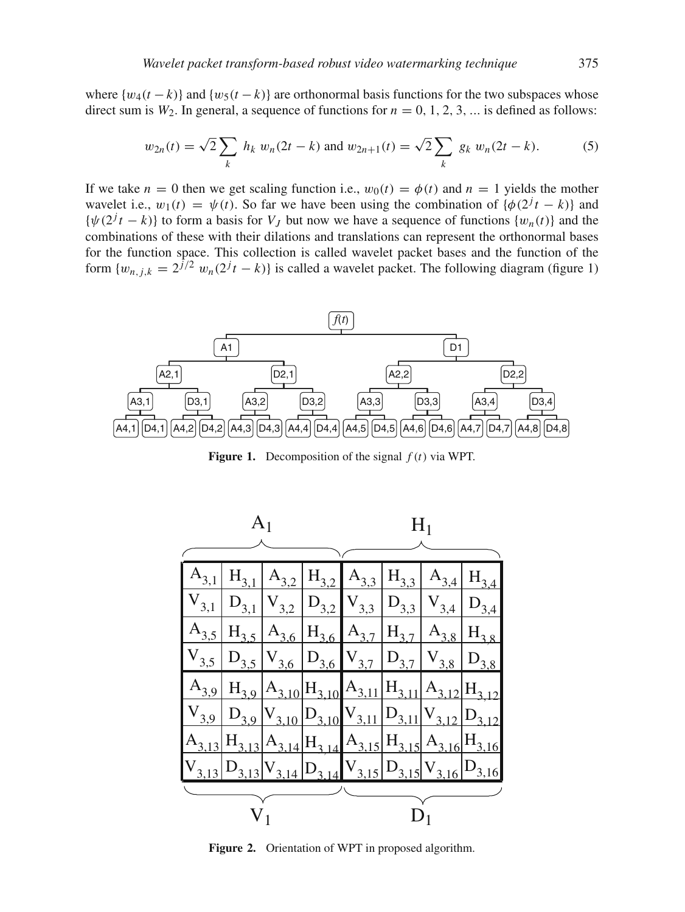where  $\{w_4(t-k)\}\$  and  $\{w_5(t-k)\}\$  are orthonormal basis functions for the two subspaces whose direct sum is  $W_2$ . In general, a sequence of functions for  $n = 0, 1, 2, 3, ...$  is defined as follows:

$$
w_{2n}(t) = \sqrt{2} \sum_{k} h_k w_n(2t - k) \text{ and } w_{2n+1}(t) = \sqrt{2} \sum_{k} g_k w_n(2t - k). \tag{5}
$$

If we take  $n = 0$  then we get scaling function i.e.,  $w_0(t) = \phi(t)$  and  $n = 1$  yields the mother wavelet i.e.,  $w_1(t) = \psi(t)$ . So far we have been using the combination of  $\{\phi(2^j t - k)\}\$  and  ${\psi(2^j t - k)}$  to form a basis for *V<sub>J</sub>* but now we have a sequence of functions  ${w_n(t)}$  and the combinations of these with their dilations and translations can represent the orthonormal bases for the function space. This collection is called wavelet packet bases and the function of the form  $\{w_{n,j,k} = 2^{j/2} w_n(2^{j}t - k)\}\$ is called a wavelet packet. The following diagram (figure 1)



**Figure 1.** Decomposition of the signal *f* (*t*) via WPT.



**Figure 2.** Orientation of WPT in proposed algorithm.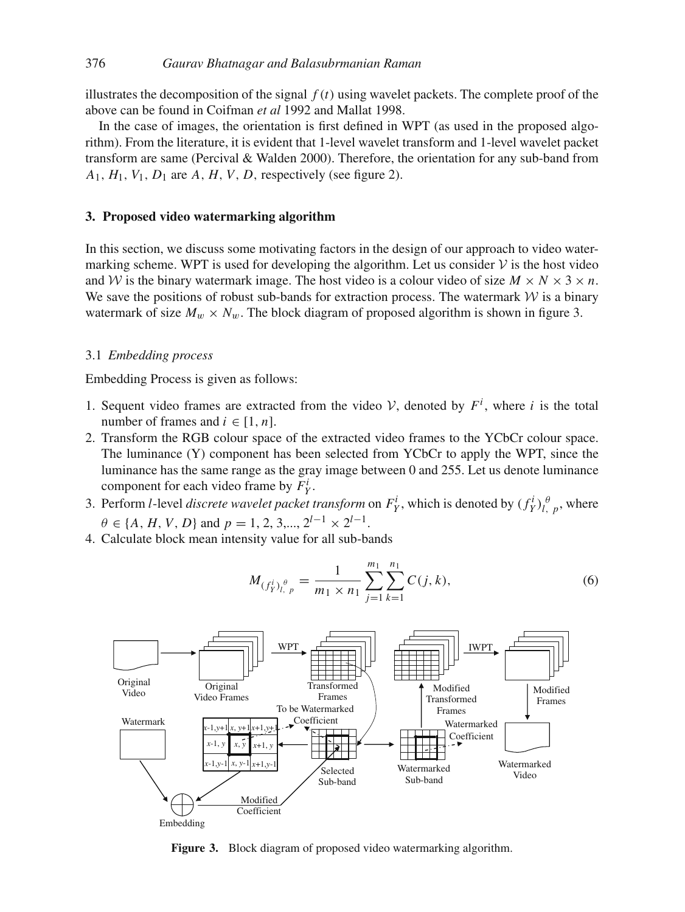illustrates the decomposition of the signal  $f(t)$  using wavelet packets. The complete proof of the above can be found in Coifman *et al* 1992 and Mallat 1998.

In the case of images, the orientation is first defined in WPT (as used in the proposed algorithm). From the literature, it is evident that 1-level wavelet transform and 1-level wavelet packet transform are same (Percival & Walden 2000). Therefore, the orientation for any sub-band from  $A_1$ ,  $H_1$ ,  $V_1$ ,  $D_1$  are  $A$ ,  $H$ ,  $V$ ,  $D$ , respectively (see figure 2).

#### **3. Proposed video watermarking algorithm**

In this section, we discuss some motivating factors in the design of our approach to video watermarking scheme. WPT is used for developing the algorithm. Let us consider  $V$  is the host video and *W* is the binary watermark image. The host video is a colour video of size  $M \times N \times 3 \times n$ . We save the positions of robust sub-bands for extraction process. The watermark  $W$  is a binary watermark of size  $M_w \times N_w$ . The block diagram of proposed algorithm is shown in figure 3.

#### 3.1 *Embedding process*

Embedding Process is given as follows:

- 1. Sequent video frames are extracted from the video  $V$ , denoted by  $F^i$ , where *i* is the total number of frames and  $i \in [1, n]$ .
- 2. Transform the RGB colour space of the extracted video frames to the YCbCr colour space. The luminance (Y) component has been selected from YCbCr to apply the WPT, since the luminance has the same range as the gray image between 0 and 255. Let us denote luminance component for each video frame by  $F_Y^i$ .
- 3. Perform *l*-level *discrete wavelet packet transform* on  $F_Y^i$ , which is denoted by  $(f_Y^i)_{i,p}^\theta$ , where  $\theta \in \{A, H, V, D\}$  and  $p = 1, 2, 3, \dots, 2^{l-1} \times 2^{l-1}$ .
- 4. Calculate block mean intensity value for all sub-bands

$$
M_{(f_Y^i)_{l,\,p}^\theta} = \frac{1}{m_1 \times n_1} \sum_{j=1}^{m_1} \sum_{k=1}^{n_1} C(j,k),\tag{6}
$$



**Figure 3.** Block diagram of proposed video watermarking algorithm.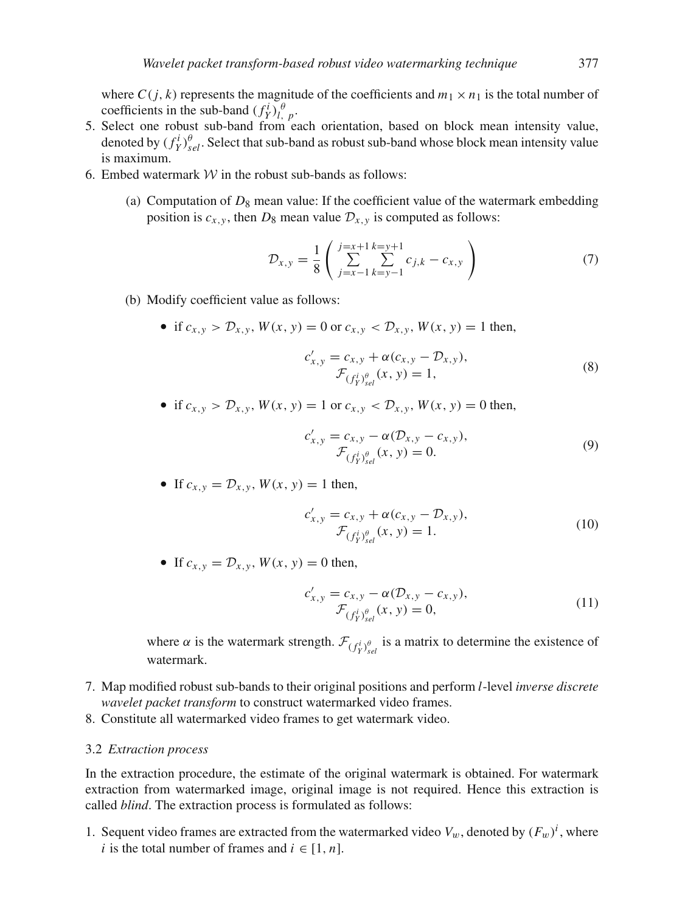where  $C(i, k)$  represents the magnitude of the coefficients and  $m_1 \times n_1$  is the total number of coefficients in the sub-band  $(f_Y^i)_{l, p}^{\theta}$ .

- 5. Select one robust sub-band from each orientation, based on block mean intensity value, denoted by  $(f_Y^i)_{sel}^{\theta}$ . Select that sub-band as robust sub-band whose block mean intensity value is maximum.
- 6. Embed watermark  $W$  in the robust sub-bands as follows:
	- (a) Computation of  $D_8$  mean value: If the coefficient value of the watermark embedding position is  $c_{x,y}$ , then  $D_8$  mean value  $\mathcal{D}_{x,y}$  is computed as follows:

$$
\mathcal{D}_{x,y} = \frac{1}{8} \left( \sum_{j=x-1}^{j=x+1} \sum_{k=y-1}^{k=y+1} c_{j,k} - c_{x,y} \right) \tag{7}
$$

- (b) Modify coefficient value as follows:
	- if  $c_{x,y} > D_{x,y}$ ,  $W(x, y) = 0$  or  $c_{x,y} < D_{x,y}$ ,  $W(x, y) = 1$  then,

$$
c'_{x,y} = c_{x,y} + \alpha(c_{x,y} - \mathcal{D}_{x,y}), \n\mathcal{F}_{(f_Y^i)_{sel}^{\theta}}(x, y) = 1,
$$
\n(8)

• if  $c_{x,y} > D_{x,y}$ ,  $W(x, y) = 1$  or  $c_{x,y} < D_{x,y}$ ,  $W(x, y) = 0$  then,

$$
c'_{x,y} = c_{x,y} - \alpha(\mathcal{D}_{x,y} - c_{x,y}), \n\mathcal{F}_{(f_Y^i)^{\theta}_{sel}}(x, y) = 0.
$$
\n(9)

• If  $c_{x,y} = D_{x,y}$ ,  $W(x, y) = 1$  then,

$$
c'_{x,y} = c_{x,y} + \alpha(c_{x,y} - \mathcal{D}_{x,y}),
$$
  
\n
$$
\mathcal{F}_{(f_Y^i)_{sel}^{\theta}}(x, y) = 1.
$$
\n(10)

• If  $c_{x,y} = D_{x,y}$ ,  $W(x, y) = 0$  then,

$$
c'_{x,y} = c_{x,y} - \alpha(\mathcal{D}_{x,y} - c_{x,y}), \n\mathcal{F}_{(f_Y^i)^0_{sel}}(x, y) = 0,
$$
\n(11)

where  $\alpha$  is the watermark strength.  $\mathcal{F}_{(f_Y^i)_{sel}^{\theta}}$  is a matrix to determine the existence of watermark.

- 7. Map modified robust sub-bands to their original positions and perform *l*-level *inverse discrete wavelet packet transform* to construct watermarked video frames.
- 8. Constitute all watermarked video frames to get watermark video.

#### 3.2 *Extraction process*

In the extraction procedure, the estimate of the original watermark is obtained. For watermark extraction from watermarked image, original image is not required. Hence this extraction is called *blind*. The extraction process is formulated as follows:

1. Sequent video frames are extracted from the watermarked video  $V_w$ , denoted by  $(F_w)^i$ , where *i* is the total number of frames and  $i \in [1, n]$ .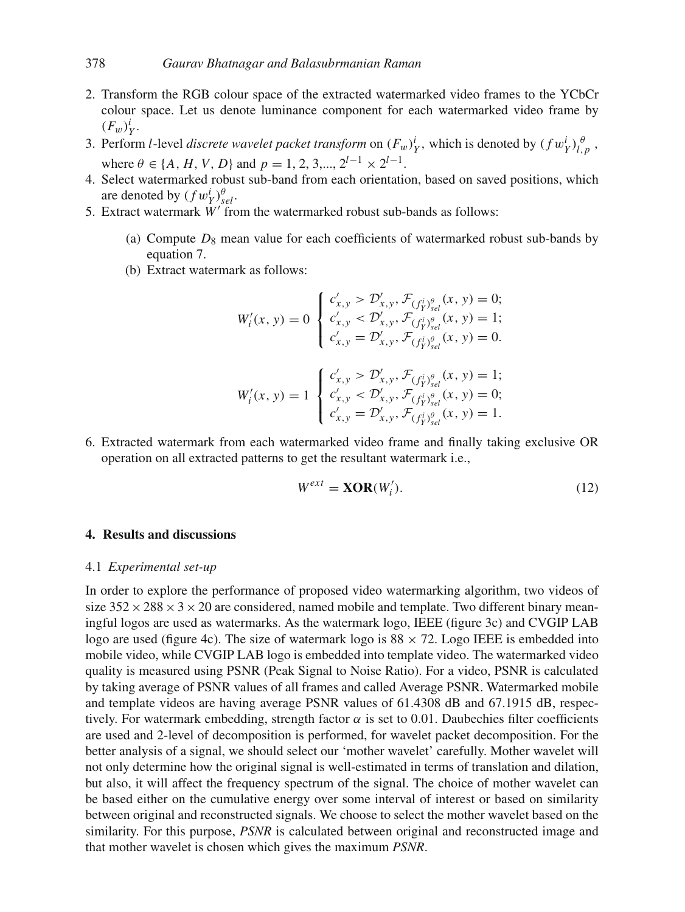- 2. Transform the RGB colour space of the extracted watermarked video frames to the YCbCr colour space. Let us denote luminance component for each watermarked video frame by  $(F_w)^i_Y$ .
- 3. Perform *l*-level *discrete wavelet packet transform* on  $(F_w)^i_Y$ , which is denoted by  $(fw^i_Y)^{\theta}_{l,p}$ , where  $\theta \in \{A, H, V, D\}$  and  $p = 1, 2, 3, \dots, 2^{l-1} \times 2^{l-1}$ .
- 4. Select watermarked robust sub-band from each orientation, based on saved positions, which are denoted by  $(fw_Y^i)_{self}^{\theta}$ .
- 5. Extract watermark *W*′ from the watermarked robust sub-bands as follows:
	- (a) Compute  $D_8$  mean value for each coefficients of watermarked robust sub-bands by equation 7.
	- (b) Extract watermark as follows:

$$
W'_{i}(x, y) = 0 \begin{cases} c'_{x,y} > \mathcal{D}'_{x,y}, \mathcal{F}_{(f_Y^i)_{sel}^{\theta}}(x, y) = 0; \\ c'_{x,y} < \mathcal{D}'_{x,y}, \mathcal{F}_{(f_Y^i)_{sel}^{\theta}}(x, y) = 1; \\ c'_{x,y} = \mathcal{D}'_{x,y}, \mathcal{F}_{(f_Y^i)_{sel}^{\theta}}(x, y) = 0. \end{cases}
$$
  

$$
W'_{i}(x, y) = 1 \begin{cases} c'_{x,y} > \mathcal{D}'_{x,y}, \mathcal{F}_{(f_Y^i)_{sel}^{\theta}}(x, y) = 1; \\ c'_{x,y} < \mathcal{D}'_{x,y}, \mathcal{F}_{(f_Y^i)_{sel}^{\theta}}(x, y) = 0; \\ c'_{x,y} = \mathcal{D}'_{x,y}, \mathcal{F}_{(f_Y^i)_{sel}^{\theta}}(x, y) = 1. \end{cases}
$$

6. Extracted watermark from each watermarked video frame and finally taking exclusive OR operation on all extracted patterns to get the resultant watermark i.e.,

$$
W^{ext} = \mathbf{XOR}(W_i').
$$
 (12)

#### **4. Results and discussions**

#### 4.1 *Experimental set-up*

In order to explore the performance of proposed video watermarking algorithm, two videos of size  $352 \times 288 \times 3 \times 20$  are considered, named mobile and template. Two different binary meaningful logos are used as watermarks. As the watermark logo, IEEE (figure 3c) and CVGIP LAB logo are used (figure 4c). The size of watermark logo is  $88 \times 72$ . Logo IEEE is embedded into mobile video, while CVGIP LAB logo is embedded into template video. The watermarked video quality is measured using PSNR (Peak Signal to Noise Ratio). For a video, PSNR is calculated by taking average of PSNR values of all frames and called Average PSNR. Watermarked mobile and template videos are having average PSNR values of 61.4308 dB and 67.1915 dB, respectively. For watermark embedding, strength factor  $\alpha$  is set to 0.01. Daubechies filter coefficients are used and 2-level of decomposition is performed, for wavelet packet decomposition. For the better analysis of a signal, we should select our 'mother wavelet' carefully. Mother wavelet will not only determine how the original signal is well-estimated in terms of translation and dilation, but also, it will affect the frequency spectrum of the signal. The choice of mother wavelet can be based either on the cumulative energy over some interval of interest or based on similarity between original and reconstructed signals. We choose to select the mother wavelet based on the similarity. For this purpose, *PSNR* is calculated between original and reconstructed image and that mother wavelet is chosen which gives the maximum *PSNR*.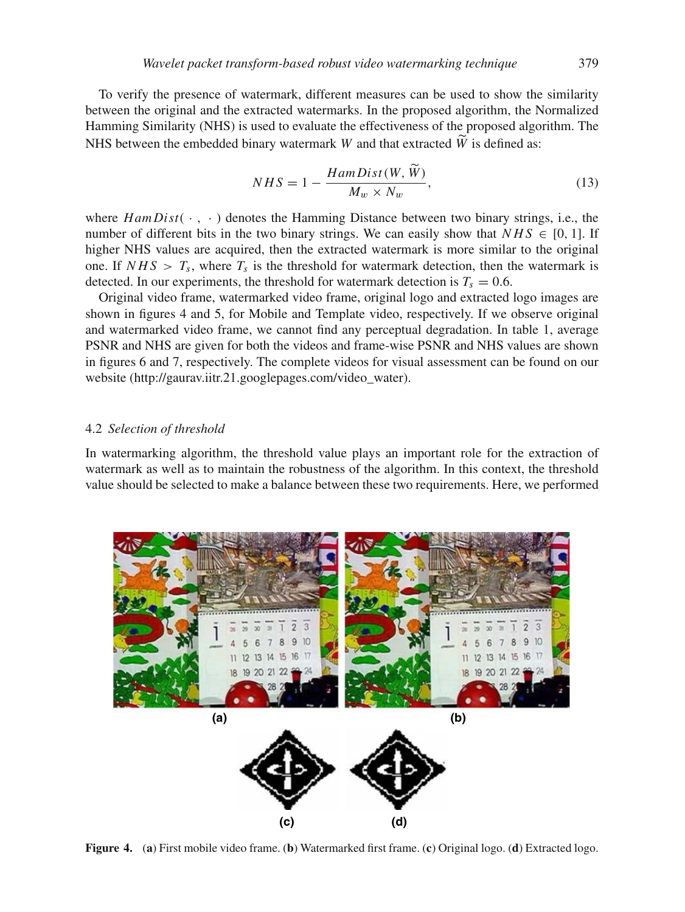To verify the presence of watermark, different measures can be used to show the similarity between the original and the extracted watermarks. In the proposed algorithm, the Normalized Hamming Similarity (NHS) is used to evaluate the effectiveness of the proposed algorithm. The NHS between the embedded binary watermark *W* and that extracted *W* is defined as:

$$
NHS = 1 - \frac{HamDist(W, W)}{M_w \times N_w},
$$
\n<sup>(13)</sup>

where  $HamDist(\cdot, \cdot)$  denotes the Hamming Distance between two binary strings, i.e., the number of different bits in the two binary strings. We can easily show that  $NHS \in [0, 1]$ . If higher NHS values are acquired, then the extracted watermark is more similar to the original one. If  $NHS > T_s$ , where  $T_s$  is the threshold for watermark detection, then the watermark is detected. In our experiments, the threshold for watermark detection is  $T_s = 0.6$ .

Original video frame, watermarked video frame, original logo and extracted logo images are shown in figures 4 and 5, for Mobile and Template video, respectively. If we observe original and watermarked video frame, we cannot find any perceptual degradation. In table 1, average PSNR and NHS are given for both the videos and frame-wise PSNR and NHS values are shown in figures 6 and 7, respectively. The complete videos for visual assessment can be found on our website (http://gaurav.iitr.21.googlepages.com/video\_water).

#### 4.2 *Selection of threshold*

In watermarking algorithm, the threshold value plays an important role for the extraction of watermark as well as to maintain the robustness of the algorithm. In this context, the threshold value should be selected to make a balance between these two requirements. Here, we performed



**Figure 4.** (**a**) First mobile video frame. (**b**) Watermarked first frame. (**c**) Original logo. (**d**) Extracted logo.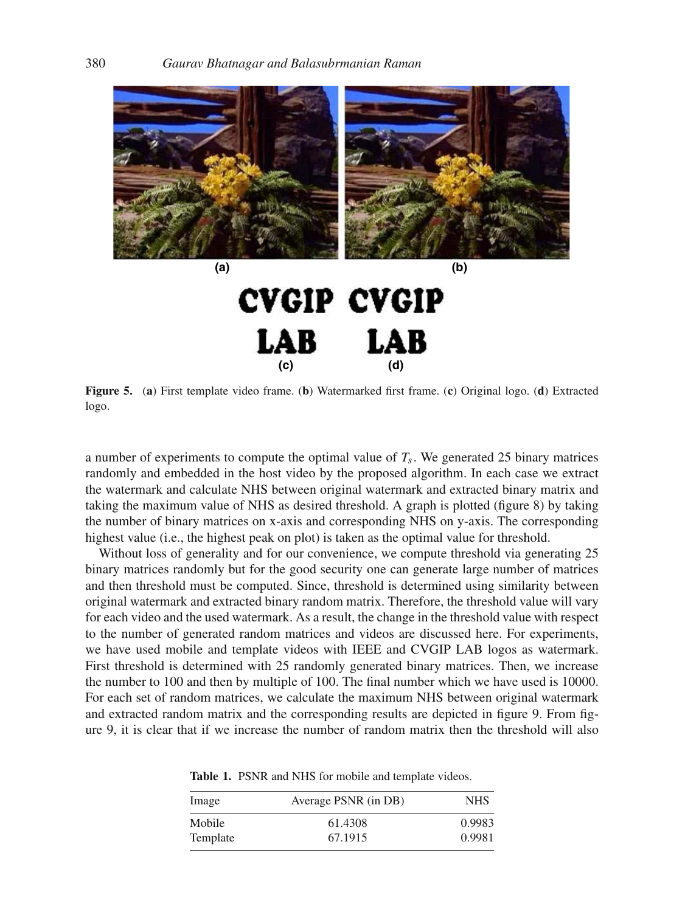

**Figure 5.** (**a**) First template video frame. (**b**) Watermarked first frame. (**c**) Original logo. (**d**) Extracted logo.

a number of experiments to compute the optimal value of  $T_s$ . We generated 25 binary matrices randomly and embedded in the host video by the proposed algorithm. In each case we extract the watermark and calculate NHS between original watermark and extracted binary matrix and taking the maximum value of NHS as desired threshold. A graph is plotted (figure 8) by taking the number of binary matrices on x-axis and corresponding NHS on y-axis. The corresponding highest value (i.e., the highest peak on plot) is taken as the optimal value for threshold.

Without loss of generality and for our convenience, we compute threshold via generating 25 binary matrices randomly but for the good security one can generate large number of matrices and then threshold must be computed. Since, threshold is determined using similarity between original watermark and extracted binary random matrix. Therefore, the threshold value will vary for each video and the used watermark. As a result, the change in the threshold value with respect to the number of generated random matrices and videos are discussed here. For experiments, we have used mobile and template videos with IEEE and CVGIP LAB logos as watermark. First threshold is determined with 25 randomly generated binary matrices. Then, we increase the number to 100 and then by multiple of 100. The final number which we have used is 10000. For each set of random matrices, we calculate the maximum NHS between original watermark and extracted random matrix and the corresponding results are depicted in figure 9. From figure 9, it is clear that if we increase the number of random matrix then the threshold will also

| Image    | Average PSNR (in DB) | <b>NHS</b> |
|----------|----------------------|------------|
| Mobile   | 61.4308              | 0.9983     |
| Template | 67.1915              | 0.9981     |

**Table 1.** PSNR and NHS for mobile and template videos.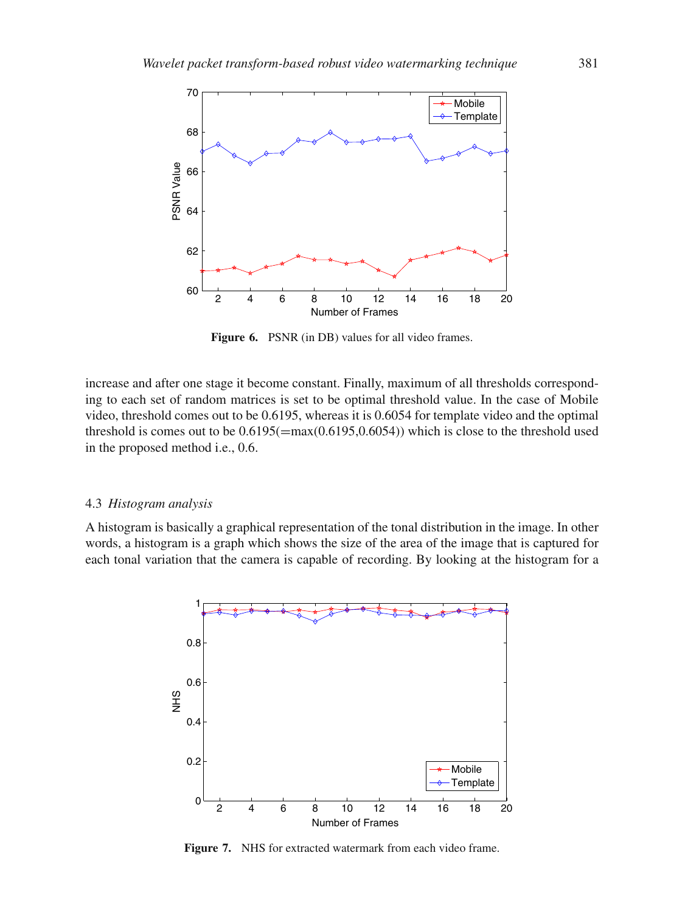

**Figure 6.** PSNR (in DB) values for all video frames.

increase and after one stage it become constant. Finally, maximum of all thresholds corresponding to each set of random matrices is set to be optimal threshold value. In the case of Mobile video, threshold comes out to be 0.6195, whereas it is 0.6054 for template video and the optimal threshold is comes out to be  $0.6195(=\text{max}(0.6195,0.6054))$  which is close to the threshold used in the proposed method i.e., 0.6.

#### 4.3 *Histogram analysis*

A histogram is basically a graphical representation of the tonal distribution in the image. In other words, a histogram is a graph which shows the size of the area of the image that is captured for each tonal variation that the camera is capable of recording. By looking at the histogram for a



**Figure 7.** NHS for extracted watermark from each video frame.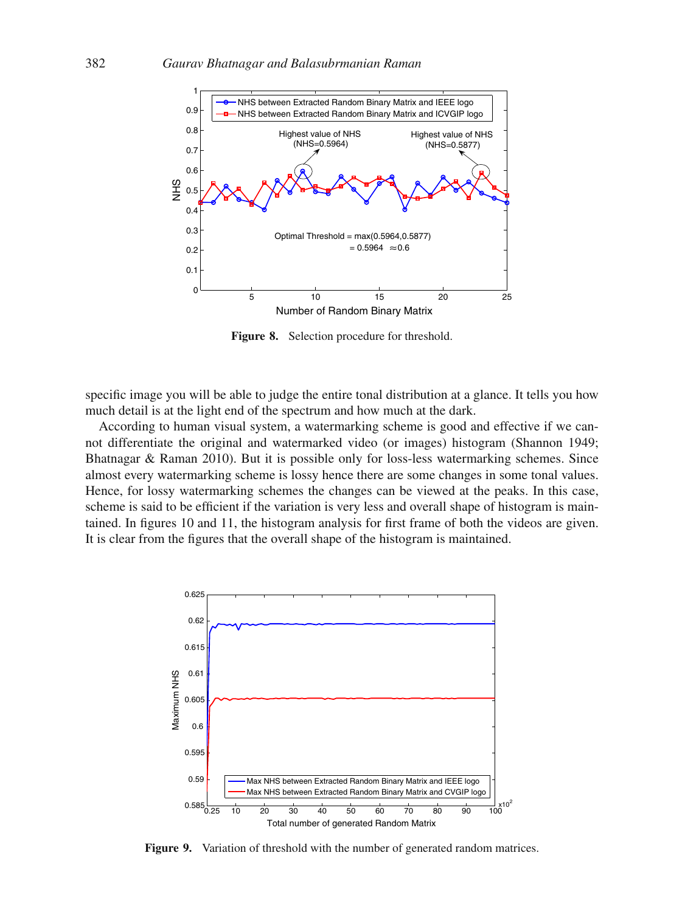

**Figure 8.** Selection procedure for threshold.

specific image you will be able to judge the entire tonal distribution at a glance. It tells you how much detail is at the light end of the spectrum and how much at the dark.

According to human visual system, a watermarking scheme is good and effective if we cannot differentiate the original and watermarked video (or images) histogram (Shannon 1949; Bhatnagar & Raman 2010). But it is possible only for loss-less watermarking schemes. Since almost every watermarking scheme is lossy hence there are some changes in some tonal values. Hence, for lossy watermarking schemes the changes can be viewed at the peaks. In this case, scheme is said to be efficient if the variation is very less and overall shape of histogram is maintained. In figures 10 and 11, the histogram analysis for first frame of both the videos are given. It is clear from the figures that the overall shape of the histogram is maintained.



**Figure 9.** Variation of threshold with the number of generated random matrices.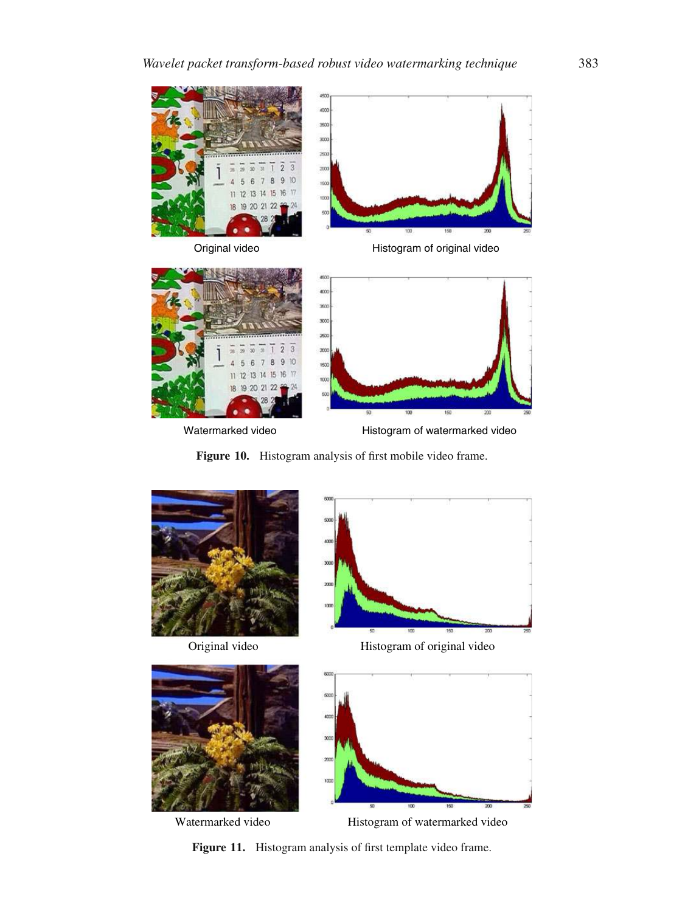

**Figure 10.** Histogram analysis of first mobile video frame.







Original video Histogram of original video



Watermarked video **Histogram** of watermarked video

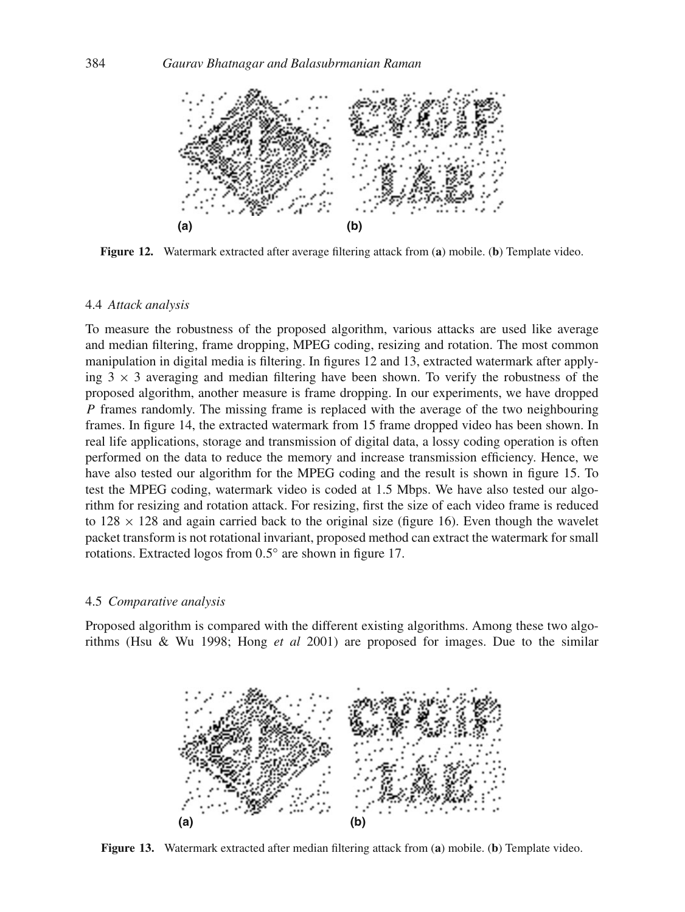

**Figure 12.** Watermark extracted after average filtering attack from (**a**) mobile. (**b**) Template video.

#### 4.4 *Attack analysis*

To measure the robustness of the proposed algorithm, various attacks are used like average and median filtering, frame dropping, MPEG coding, resizing and rotation. The most common manipulation in digital media is filtering. In figures 12 and 13, extracted watermark after applying  $3 \times 3$  averaging and median filtering have been shown. To verify the robustness of the proposed algorithm, another measure is frame dropping. In our experiments, we have dropped *P* frames randomly. The missing frame is replaced with the average of the two neighbouring frames. In figure 14, the extracted watermark from 15 frame dropped video has been shown. In real life applications, storage and transmission of digital data, a lossy coding operation is often performed on the data to reduce the memory and increase transmission efficiency. Hence, we have also tested our algorithm for the MPEG coding and the result is shown in figure 15. To test the MPEG coding, watermark video is coded at 1.5 Mbps. We have also tested our algorithm for resizing and rotation attack. For resizing, first the size of each video frame is reduced to  $128 \times 128$  and again carried back to the original size (figure 16). Even though the wavelet packet transform is not rotational invariant, proposed method can extract the watermark for small rotations. Extracted logos from 0.5° are shown in figure 17.

#### 4.5 *Comparative analysis*

Proposed algorithm is compared with the different existing algorithms. Among these two algorithms (Hsu & Wu 1998; Hong *et al* 2001) are proposed for images. Due to the similar



**Figure 13.** Watermark extracted after median filtering attack from (**a**) mobile. (**b**) Template video.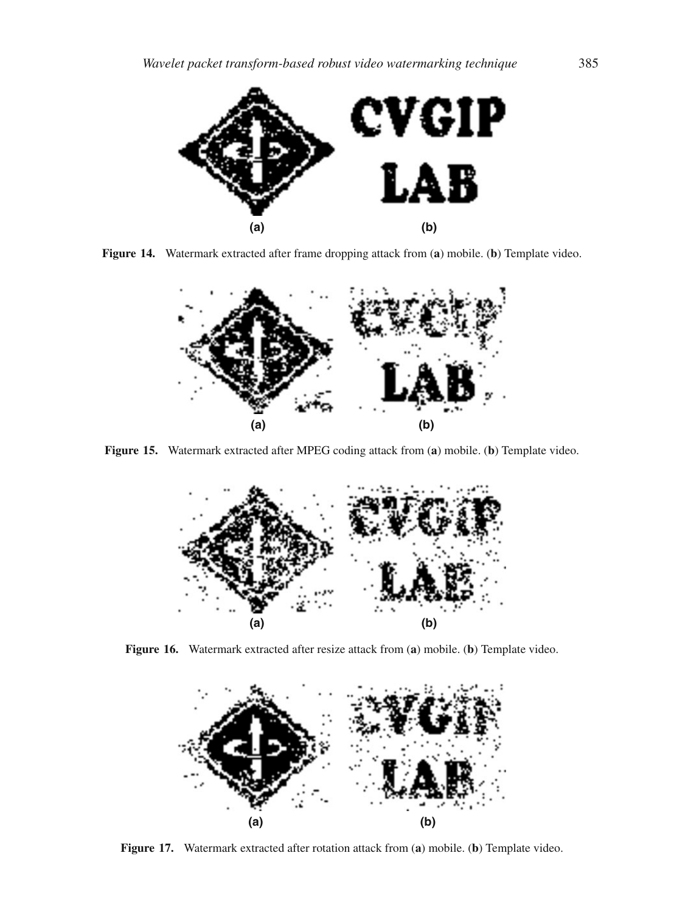

**Figure 14.** Watermark extracted after frame dropping attack from (**a**) mobile. (**b**) Template video.



**Figure 15.** Watermark extracted after MPEG coding attack from (**a**) mobile. (**b**) Template video.



**Figure 16.** Watermark extracted after resize attack from (**a**) mobile. (**b**) Template video.



**Figure 17.** Watermark extracted after rotation attack from (**a**) mobile. (**b**) Template video.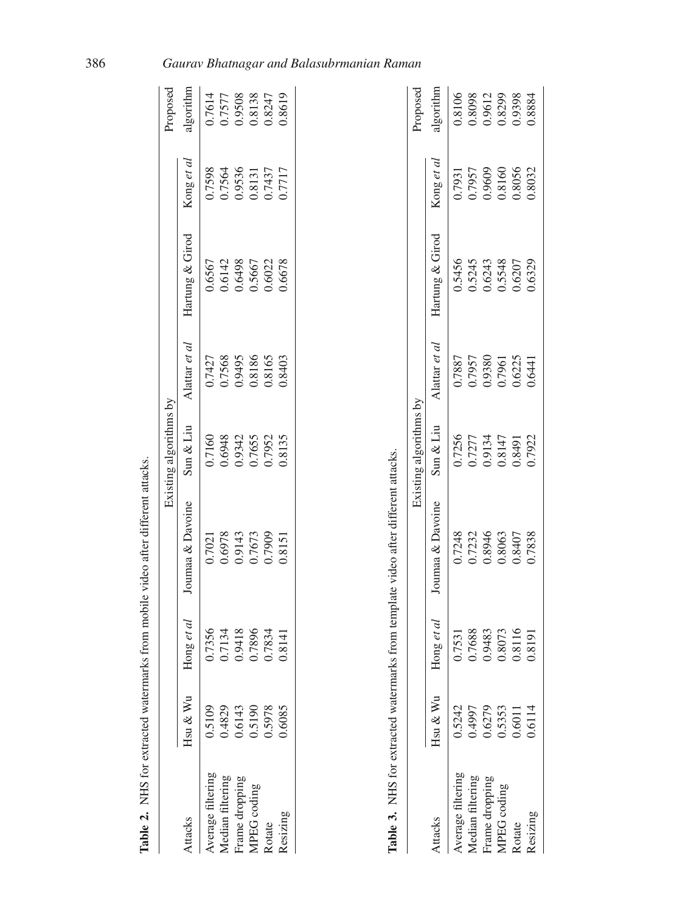|                   |                                                                     |              | Table 2. NHS for extracted watermarks from mobile video after different attacks. |                        |               |                  |            |           |
|-------------------|---------------------------------------------------------------------|--------------|----------------------------------------------------------------------------------|------------------------|---------------|------------------|------------|-----------|
|                   |                                                                     |              |                                                                                  | Existing algorithms by |               |                  |            | Proposed  |
| Attacks           | Hsu & Wu                                                            | Hong $et al$ | Joumaa & Davoine                                                                 | Sun $&$ Liu            | Alattar et al | Hartung & Girod  | Kong et al | algorithm |
| Average filtering | 0.5109                                                              | 0.7356       | 0.7021                                                                           | 0.7160                 | 0.7427        | 0.6567           | 0.7598     | 0.7614    |
| Median filtering  |                                                                     | 0.7134       | 0.6978                                                                           | 0.6948                 | 0.7568        | 0.6142           | 0.7564     | 0.7577    |
| Frame dropping    | 0.4829<br>0.6143<br>0.5190<br>0.5978                                | 0.9418       | 0.9143                                                                           | 0.9342                 | 0.9495        | 0.6498           | 0.9536     | 0.9508    |
| MPEG coding       |                                                                     | 0.7896       | 0.7673                                                                           | 0.7655                 | 0.8186        | 0.5667           | 0.8131     | 0.8138    |
| Rotate            |                                                                     | 0.7834       | 0.7909                                                                           | 0.7952                 | 0.8165        | 0.6022           | 0.7437     | 0.8247    |
| Resizing          | 0.6085                                                              | 0.8141       | 0.8151                                                                           | 0.8135                 | 0.8403        | 0.6678           | 0.7717     | 0.8619    |
|                   |                                                                     |              |                                                                                  | Existing algorithms by |               |                  |            | Proposed  |
|                   |                                                                     |              |                                                                                  |                        |               |                  |            |           |
| Attacks           | Hsu & Wu                                                            | Hong et al   | Joumaa & Davoine                                                                 | $\sin \&$ Liu          | Alattar et al | Hartung & Girod  | Kong et al | algorithm |
| Average filtering | 0.5242                                                              | 0.7531       | 0.7248                                                                           | 0.7256                 | 0.7887        | 0.5456           | 0.7931     | 0.8106    |
| Median filtering  |                                                                     | 0.7688       | 0.7232                                                                           | 0.7277                 | 0.7957        |                  | 0.7957     | 0.8098    |
| Frame dropping    |                                                                     | 0.9483       | 0.8946                                                                           | 0.9134                 | 0.9380        | 0.5245<br>0.6243 | 0.9609     | 0.9612    |
| MPEG coding       |                                                                     | 0.8073       | 0.8063                                                                           | 0.8147                 | 0.7961        | 0.5548           | 0.8160     | 0.8299    |
| Rotate            | $\begin{array}{c} 0.4997 \\ 0.6279 \\ 0.5353 \\ 0.5353 \end{array}$ | 0.8116       | 0.8407                                                                           | 0.8491                 | 0.6225        | 0.6207           | 0.8056     | 0.9398    |
| Resizing          | 0.6114                                                              | 0.8191       | 0.7838                                                                           | 0.7922                 | 0.6441        | 0.6329           | 0.8032     | 0.8884    |

Rotate<br>Resizing

## 386 *Gaurav Bhatnagar and Balasubrmanian Raman*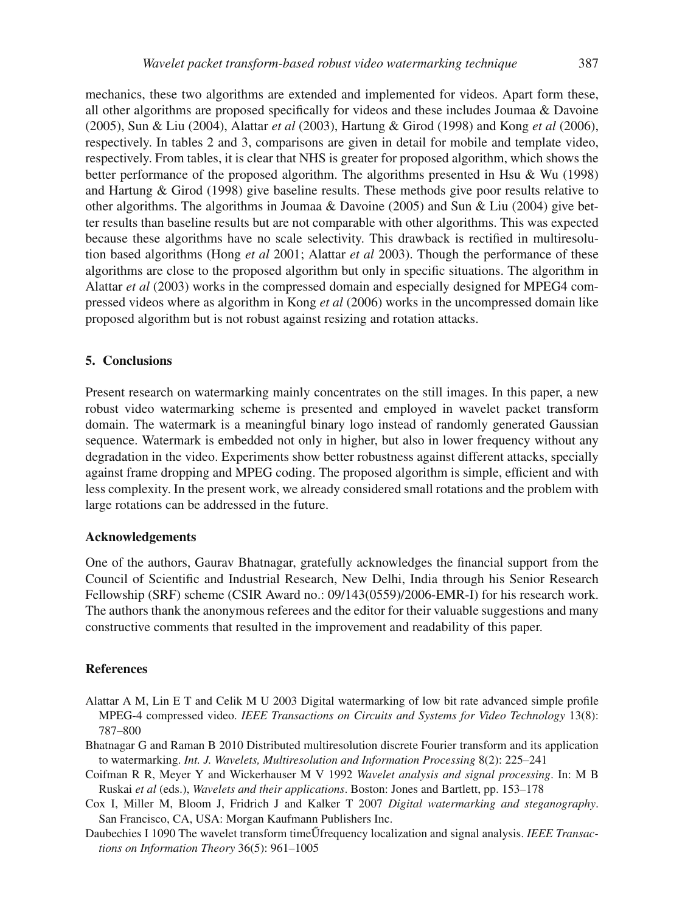mechanics, these two algorithms are extended and implemented for videos. Apart form these, all other algorithms are proposed specifically for videos and these includes Joumaa & Davoine (2005), Sun & Liu (2004), Alattar *et al* (2003), Hartung & Girod (1998) and Kong *et al* (2006), respectively. In tables 2 and 3, comparisons are given in detail for mobile and template video, respectively. From tables, it is clear that NHS is greater for proposed algorithm, which shows the better performance of the proposed algorithm. The algorithms presented in Hsu & Wu (1998) and Hartung & Girod (1998) give baseline results. These methods give poor results relative to other algorithms. The algorithms in Joumaa & Davoine (2005) and Sun & Liu (2004) give better results than baseline results but are not comparable with other algorithms. This was expected because these algorithms have no scale selectivity. This drawback is rectified in multiresolution based algorithms (Hong *et al* 2001; Alattar *et al* 2003). Though the performance of these algorithms are close to the proposed algorithm but only in specific situations. The algorithm in Alattar *et al* (2003) works in the compressed domain and especially designed for MPEG4 compressed videos where as algorithm in Kong *et al* (2006) works in the uncompressed domain like proposed algorithm but is not robust against resizing and rotation attacks.

#### **5. Conclusions**

Present research on watermarking mainly concentrates on the still images. In this paper, a new robust video watermarking scheme is presented and employed in wavelet packet transform domain. The watermark is a meaningful binary logo instead of randomly generated Gaussian sequence. Watermark is embedded not only in higher, but also in lower frequency without any degradation in the video. Experiments show better robustness against different attacks, specially against frame dropping and MPEG coding. The proposed algorithm is simple, efficient and with less complexity. In the present work, we already considered small rotations and the problem with large rotations can be addressed in the future.

#### **Acknowledgements**

One of the authors, Gaurav Bhatnagar, gratefully acknowledges the financial support from the Council of Scientific and Industrial Research, New Delhi, India through his Senior Research Fellowship (SRF) scheme (CSIR Award no.: 09/143(0559)/2006-EMR-I) for his research work. The authors thank the anonymous referees and the editor for their valuable suggestions and many constructive comments that resulted in the improvement and readability of this paper.

#### **References**

- Alattar A M, Lin E T and Celik M U 2003 Digital watermarking of low bit rate advanced simple profile MPEG-4 compressed video. *IEEE Transactions on Circuits and Systems for Video Technology* 13(8): 787–800
- Bhatnagar G and Raman B 2010 Distributed multiresolution discrete Fourier transform and its application to watermarking. *Int. J. Wavelets, Multiresolution and Information Processing* 8(2): 225–241
- Coifman R R, Meyer Y and Wickerhauser M V 1992 *Wavelet analysis and signal processing*. In: M B Ruskai *et al* (eds.), *Wavelets and their applications*. Boston: Jones and Bartlett, pp. 153–178
- Cox I, Miller M, Bloom J, Fridrich J and Kalker T 2007 *Digital watermarking and steganography*. San Francisco, CA, USA: Morgan Kaufmann Publishers Inc.
- Daubechies I 1090 The wavelet transform time *Ú* frequency localization and signal analysis. *IEEE Transactions on Information Theory* 36(5): 961–1005